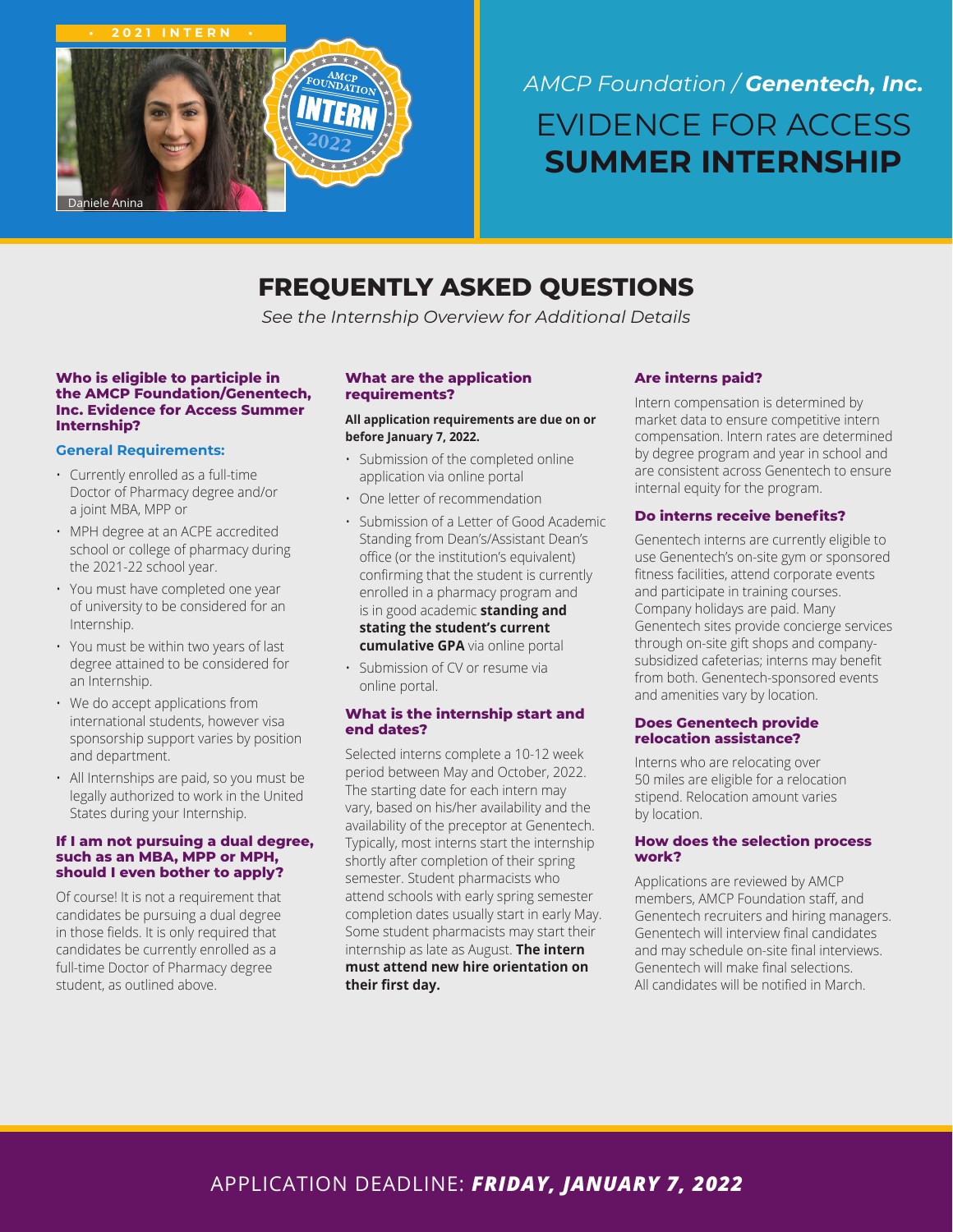

# *AMCP Foundation / Genentech, Inc.*  EVIDENCE FOR ACCESS **SUMMER INTERNSHIP**

# **FREQUENTLY ASKED QUESTIONS**

*See the Internship Overview for Additional Details*

#### **Who is eligible to participle in the AMCP Foundation/Genentech, Inc. Evidence for Access Summer Internship?**

# **General Requirements:**

- Currently enrolled as a full-time Doctor of Pharmacy degree and/or a joint MBA, MPP or
- MPH degree at an ACPE accredited school or college of pharmacy during the 2021-22 school year.
- You must have completed one year of university to be considered for an Internship.
- You must be within two years of last degree attained to be considered for an Internship.
- We do accept applications from international students, however visa sponsorship support varies by position and department.
- All Internships are paid, so you must be legally authorized to work in the United States during your Internship.

#### **If I am not pursuing a dual degree, such as an MBA, MPP or MPH, should I even bother to apply?**

Of course! It is not a requirement that candidates be pursuing a dual degree in those fields. It is only required that candidates be currently enrolled as a full-time Doctor of Pharmacy degree student, as outlined above.

#### **What are the application requirements?**

#### **All application requirements are due on or before January 7, 2022.**

- Submission of the completed online application via online portal
- One letter of recommendation
- Submission of a Letter of Good Academic Standing from Dean's/Assistant Dean's office (or the institution's equivalent) confirming that the student is currently enrolled in a pharmacy program and is in good academic **standing and stating the student's current cumulative GPA** via online portal

• Submission of CV or resume via online portal.

# **What is the internship start and end dates?**

Selected interns complete a 10-12 week period between May and October, 2022. The starting date for each intern may vary, based on his/her availability and the availability of the preceptor at Genentech. Typically, most interns start the internship shortly after completion of their spring semester. Student pharmacists who attend schools with early spring semester completion dates usually start in early May. Some student pharmacists may start their internship as late as August. **The intern must attend new hire orientation on their first day.**

# **Are interns paid?**

Intern compensation is determined by market data to ensure competitive intern compensation. Intern rates are determined by degree program and year in school and are consistent across Genentech to ensure internal equity for the program.

# **Do interns receive benefits?**

Genentech interns are currently eligible to use Genentech's on-site gym or sponsored fitness facilities, attend corporate events and participate in training courses. Company holidays are paid. Many Genentech sites provide concierge services through on-site gift shops and companysubsidized cafeterias; interns may benefit from both. Genentech-sponsored events and amenities vary by location.

#### **Does Genentech provide relocation assistance?**

Interns who are relocating over 50 miles are eligible for a relocation stipend. Relocation amount varies by location.

#### **How does the selection process work?**

Applications are reviewed by AMCP members, AMCP Foundation staff, and Genentech recruiters and hiring managers. Genentech will interview final candidates and may schedule on-site final interviews. Genentech will make final selections. All candidates will be notified in March.